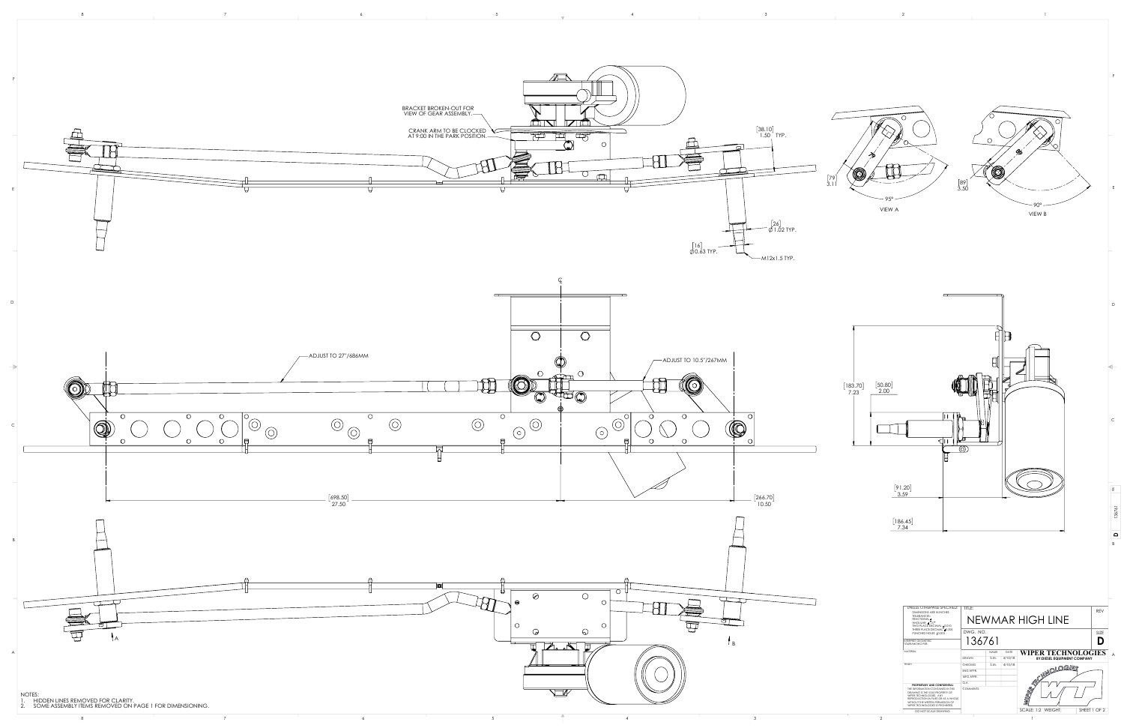





D

C

 $\vert$  B



E

F

REV

136761

**D**

| UNLESS OTHERWISE SPECIFIED:<br><b>DIMENSIONS ARE IN INCHES</b><br><b>TOLERANCES:</b>                                                                                                                            | TITLE:                  |             |         |                                    |              |  |  |
|-----------------------------------------------------------------------------------------------------------------------------------------------------------------------------------------------------------------|-------------------------|-------------|---------|------------------------------------|--------------|--|--|
| <b>FRACTIONAL</b> ±<br>ANGULAR: ± 1.0°<br>TWO PLACE DECIMAL ±0.010                                                                                                                                              | <b>NEWMAR HIGH LINE</b> |             |         |                                    |              |  |  |
| THREE PLACE DECIMAL ±0.005<br>PUNCHED HOLES ±0.003                                                                                                                                                              | DWG. NO.                |             |         |                                    | <b>SIZE</b>  |  |  |
| INTERPRET GEOMETRIC<br><b>TOLERANCING PER:</b>                                                                                                                                                                  | 136761                  |             |         |                                    |              |  |  |
| MATFRIAL                                                                                                                                                                                                        |                         | <b>NAME</b> | DATE    | <b>WIPER TECHNOLOGIES</b>          |              |  |  |
|                                                                                                                                                                                                                 | DRAWN                   | S.M.        | 4/10/18 | <b>BY:DIESEL EQUIPMENT COMPANY</b> |              |  |  |
| <b>FINISH</b>                                                                                                                                                                                                   | <b>CHECKED</b>          | S.M.        | 4/10/18 |                                    |              |  |  |
|                                                                                                                                                                                                                 | <b>FNG APPR.</b>        |             |         | <b>MNOLOGIES</b>                   |              |  |  |
|                                                                                                                                                                                                                 | MFG APPR.               |             |         |                                    |              |  |  |
| PROPRIETARY AND CONFIDENTIAL                                                                                                                                                                                    | Q.A.                    |             |         |                                    |              |  |  |
| THE INFORMATION CONTAINED IN THIS<br>DRAWING IS THE SOLE PROPERTY OF<br>WIPER TECHNOLOGIES. ANY<br>REPRODUCTION IN PART OR AS A WHOLE<br>WITHOUT THE WRITTEN PERMISSION OF<br>WIPER TECHNOLOGIES IS PROHIBITED. | <b>COMMENTS:</b>        |             |         | <b>IDES</b>                        |              |  |  |
| DO NOT SCALE DRAWING                                                                                                                                                                                            |                         |             |         | <b>SCALE: 1:2</b><br>WEIGHT:       | SHEET 1 OF 2 |  |  |